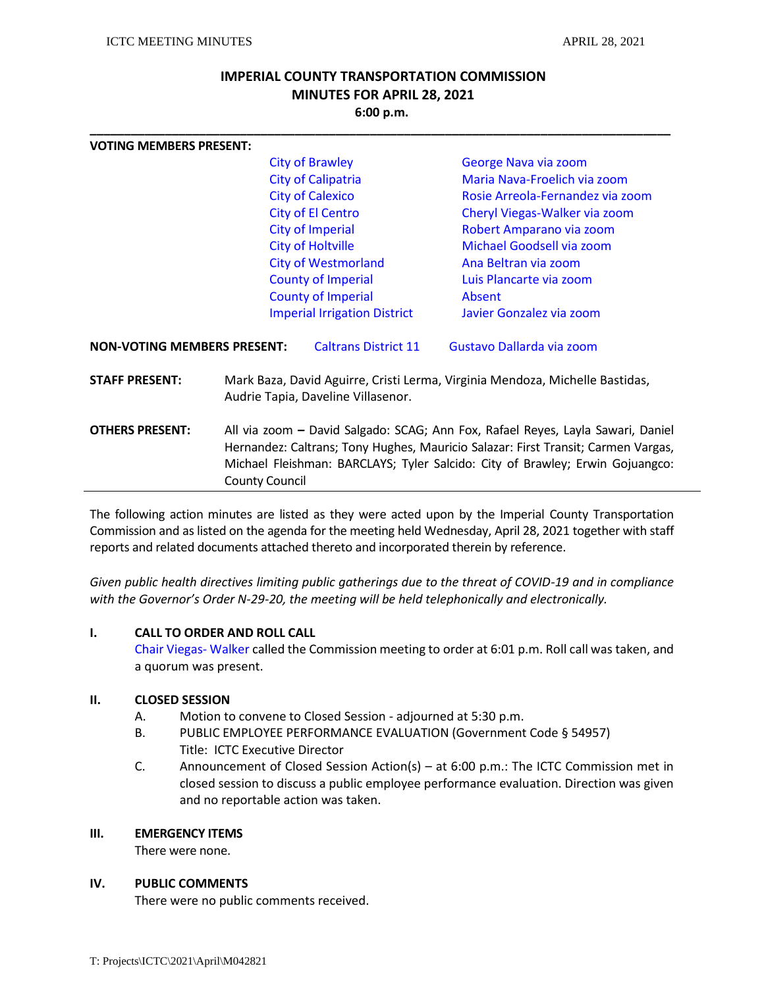# **IMPERIAL COUNTY TRANSPORTATION COMMISSION MINUTES FOR APRIL 28, 2021 6:00 p.m.**

**\_\_\_\_\_\_\_\_\_\_\_\_\_\_\_\_\_\_\_\_\_\_\_\_\_\_\_\_\_\_\_\_\_\_\_\_\_\_\_\_\_\_\_\_\_\_\_\_\_\_\_\_\_\_\_\_\_\_\_\_\_\_\_\_\_\_\_\_\_\_\_\_\_\_\_\_\_\_\_\_\_\_\_\_\_**

| <b>VOTING MEMBERS PRESENT:</b>     |                                                                                                                                                                                                                                                                                |                                     |                                  |  |
|------------------------------------|--------------------------------------------------------------------------------------------------------------------------------------------------------------------------------------------------------------------------------------------------------------------------------|-------------------------------------|----------------------------------|--|
|                                    | <b>City of Brawley</b>                                                                                                                                                                                                                                                         |                                     | George Nava via zoom             |  |
|                                    | <b>City of Calipatria</b>                                                                                                                                                                                                                                                      |                                     | Maria Nava-Froelich via zoom     |  |
|                                    |                                                                                                                                                                                                                                                                                | <b>City of Calexico</b>             | Rosie Arreola-Fernandez via zoom |  |
|                                    |                                                                                                                                                                                                                                                                                | <b>City of El Centro</b>            | Cheryl Viegas-Walker via zoom    |  |
|                                    | <b>City of Imperial</b>                                                                                                                                                                                                                                                        |                                     | Robert Amparano via zoom         |  |
|                                    |                                                                                                                                                                                                                                                                                | <b>City of Holtville</b>            | Michael Goodsell via zoom        |  |
|                                    |                                                                                                                                                                                                                                                                                | <b>City of Westmorland</b>          | Ana Beltran via zoom             |  |
|                                    |                                                                                                                                                                                                                                                                                | <b>County of Imperial</b>           | Luis Plancarte via zoom          |  |
|                                    |                                                                                                                                                                                                                                                                                | <b>County of Imperial</b>           | Absent                           |  |
|                                    |                                                                                                                                                                                                                                                                                | <b>Imperial Irrigation District</b> | Javier Gonzalez via zoom         |  |
| <b>NON-VOTING MEMBERS PRESENT:</b> |                                                                                                                                                                                                                                                                                | <b>Caltrans District 11</b>         | Gustavo Dallarda via zoom        |  |
| <b>STAFF PRESENT:</b>              | Mark Baza, David Aguirre, Cristi Lerma, Virginia Mendoza, Michelle Bastidas,<br>Audrie Tapia, Daveline Villasenor.                                                                                                                                                             |                                     |                                  |  |
| <b>OTHERS PRESENT:</b>             | All via zoom - David Salgado: SCAG; Ann Fox, Rafael Reyes, Layla Sawari, Daniel<br>Hernandez: Caltrans; Tony Hughes, Mauricio Salazar: First Transit; Carmen Vargas,<br>Michael Fleishman: BARCLAYS; Tyler Salcido: City of Brawley; Erwin Gojuangco:<br><b>County Council</b> |                                     |                                  |  |
|                                    |                                                                                                                                                                                                                                                                                |                                     |                                  |  |

The following action minutes are listed as they were acted upon by the Imperial County Transportation Commission and as listed on the agenda for the meeting held Wednesday, April 28, 2021 together with staff reports and related documents attached thereto and incorporated therein by reference.

*Given public health directives limiting public gatherings due to the threat of COVID-19 and in compliance with the Governor's Order N-29-20, the meeting will be held telephonically and electronically.* 

#### **I. CALL TO ORDER AND ROLL CALL**

Chair Viegas- Walker called the Commission meeting to order at 6:01 p.m. Roll call was taken, and a quorum was present.

## **II. CLOSED SESSION**

- A. Motion to convene to Closed Session adjourned at 5:30 p.m.
- B. PUBLIC EMPLOYEE PERFORMANCE EVALUATION (Government Code § 54957) Title: ICTC Executive Director
- C. Announcement of Closed Session Action(s) at 6:00 p.m.: The ICTC Commission met in closed session to discuss a public employee performance evaluation. Direction was given and no reportable action was taken.

#### **III. EMERGENCY ITEMS**

There were none.

#### **IV. PUBLIC COMMENTS**

There were no public comments received.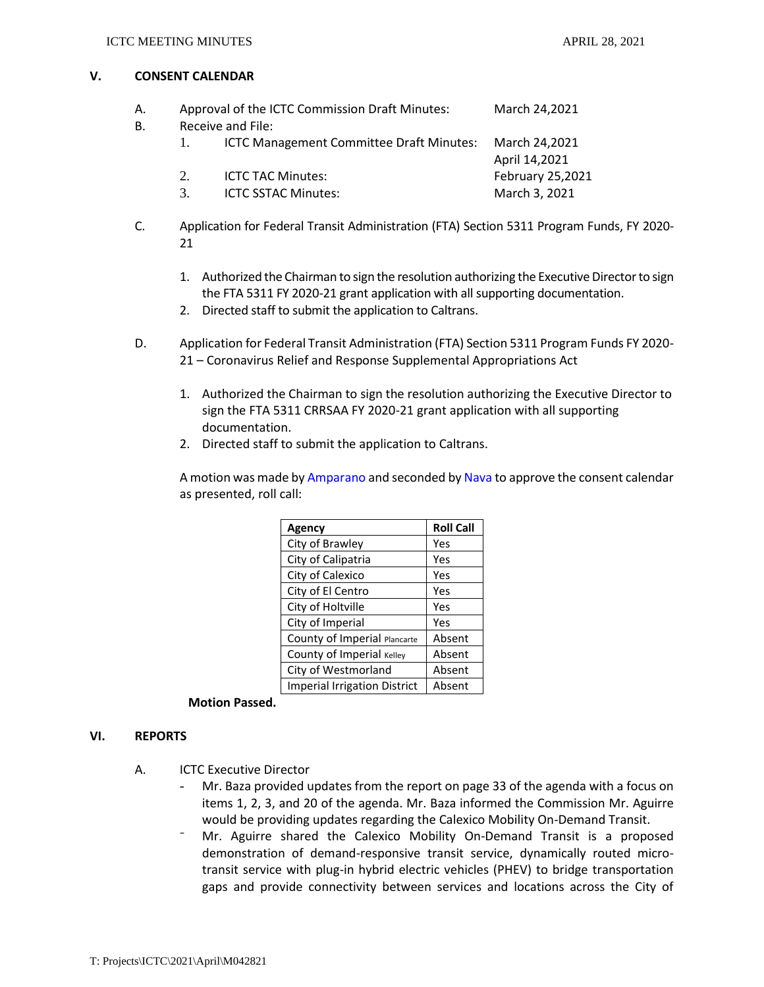#### **V. CONSENT CALENDAR**

| А. |             | Approval of the ICTC Commission Draft Minutes:         | March 24,2021    |  |  |  |
|----|-------------|--------------------------------------------------------|------------------|--|--|--|
| В. |             | Receive and File:                                      |                  |  |  |  |
|    |             | ICTC Management Committee Draft Minutes: March 24,2021 | April 14,2021    |  |  |  |
|    | $2^{\circ}$ | <b>ICTC TAC Minutes:</b>                               | February 25,2021 |  |  |  |
|    | $3_{-}$     | <b>ICTC SSTAC Minutes:</b>                             | March 3, 2021    |  |  |  |

- C. Application for Federal Transit Administration (FTA) Section 5311 Program Funds, FY 2020- 21
	- 1. Authorized the Chairman to sign the resolution authorizing the Executive Director to sign the FTA 5311 FY 2020-21 grant application with all supporting documentation.
	- 2. Directed staff to submit the application to Caltrans.
- D. Application for Federal Transit Administration (FTA) Section 5311 Program Funds FY 2020- 21 – Coronavirus Relief and Response Supplemental Appropriations Act
	- 1. Authorized the Chairman to sign the resolution authorizing the Executive Director to sign the FTA 5311 CRRSAA FY 2020-21 grant application with all supporting documentation.
	- 2. Directed staff to submit the application to Caltrans.

A motion was made by Amparano and seconded by Nava to approve the consent calendar as presented, roll call:

| Agency                              | <b>Roll Call</b> |
|-------------------------------------|------------------|
| City of Brawley                     | Yes              |
| City of Calipatria                  | Yes              |
| City of Calexico                    | Yes              |
| City of El Centro                   | Yes              |
| City of Holtville                   | Yes              |
| City of Imperial                    | Yes              |
| County of Imperial Plancarte        | Absent           |
| County of Imperial Kelley           | Absent           |
| City of Westmorland                 | Absent           |
| <b>Imperial Irrigation District</b> | Absent           |

## **Motion Passed.**

## **VI. REPORTS**

- A. ICTC Executive Director
	- Mr. Baza provided updates from the report on page 33 of the agenda with a focus on items 1, 2, 3, and 20 of the agenda. Mr. Baza informed the Commission Mr. Aguirre would be providing updates regarding the Calexico Mobility On-Demand Transit.
	- ⁻ Mr. Aguirre shared the Calexico Mobility On-Demand Transit is a proposed demonstration of demand-responsive transit service, dynamically routed microtransit service with plug-in hybrid electric vehicles (PHEV) to bridge transportation gaps and provide connectivity between services and locations across the City of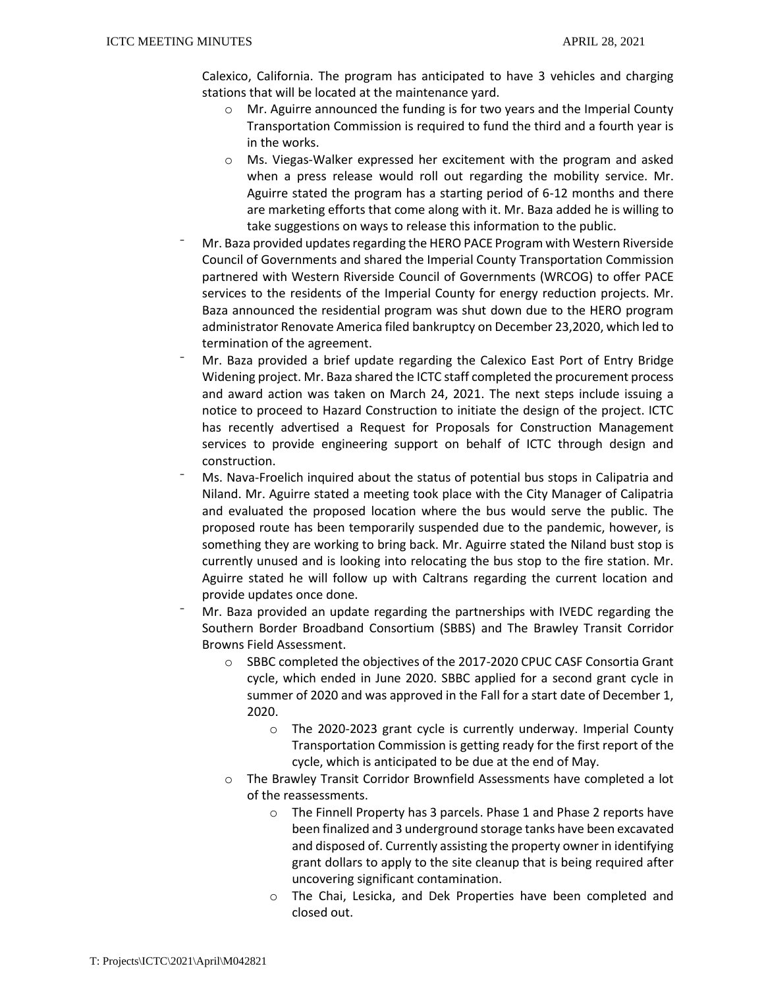Calexico, California. The program has anticipated to have 3 vehicles and charging stations that will be located at the maintenance yard.

- o Mr. Aguirre announced the funding is for two years and the Imperial County Transportation Commission is required to fund the third and a fourth year is in the works.
- $\circ$  Ms. Viegas-Walker expressed her excitement with the program and asked when a press release would roll out regarding the mobility service. Mr. Aguirre stated the program has a starting period of 6-12 months and there are marketing efforts that come along with it. Mr. Baza added he is willing to take suggestions on ways to release this information to the public.
- ⁻ Mr. Baza provided updates regarding the HERO PACE Program with Western Riverside Council of Governments and shared the Imperial County Transportation Commission partnered with Western Riverside Council of Governments (WRCOG) to offer PACE services to the residents of the Imperial County for energy reduction projects. Mr. Baza announced the residential program was shut down due to the HERO program administrator Renovate America filed bankruptcy on December 23,2020, which led to termination of the agreement.
- ⁻ Mr. Baza provided a brief update regarding the Calexico East Port of Entry Bridge Widening project. Mr. Baza shared the ICTC staff completed the procurement process and award action was taken on March 24, 2021. The next steps include issuing a notice to proceed to Hazard Construction to initiate the design of the project. ICTC has recently advertised a Request for Proposals for Construction Management services to provide engineering support on behalf of ICTC through design and construction.
- Ms. Nava-Froelich inquired about the status of potential bus stops in Calipatria and Niland. Mr. Aguirre stated a meeting took place with the City Manager of Calipatria and evaluated the proposed location where the bus would serve the public. The proposed route has been temporarily suspended due to the pandemic, however, is something they are working to bring back. Mr. Aguirre stated the Niland bust stop is currently unused and is looking into relocating the bus stop to the fire station. Mr. Aguirre stated he will follow up with Caltrans regarding the current location and provide updates once done.
- ⁻ Mr. Baza provided an update regarding the partnerships with IVEDC regarding the Southern Border Broadband Consortium (SBBS) and The Brawley Transit Corridor Browns Field Assessment.
	- o SBBC completed the objectives of the 2017-2020 CPUC CASF Consortia Grant cycle, which ended in June 2020. SBBC applied for a second grant cycle in summer of 2020 and was approved in the Fall for a start date of December 1, 2020.
		- $\circ$  The 2020-2023 grant cycle is currently underway. Imperial County Transportation Commission is getting ready for the first report of the cycle, which is anticipated to be due at the end of May.
	- o The Brawley Transit Corridor Brownfield Assessments have completed a lot of the reassessments.
		- o The Finnell Property has 3 parcels. Phase 1 and Phase 2 reports have been finalized and 3 underground storage tanks have been excavated and disposed of. Currently assisting the property owner in identifying grant dollars to apply to the site cleanup that is being required after uncovering significant contamination.
		- o The Chai, Lesicka, and Dek Properties have been completed and closed out.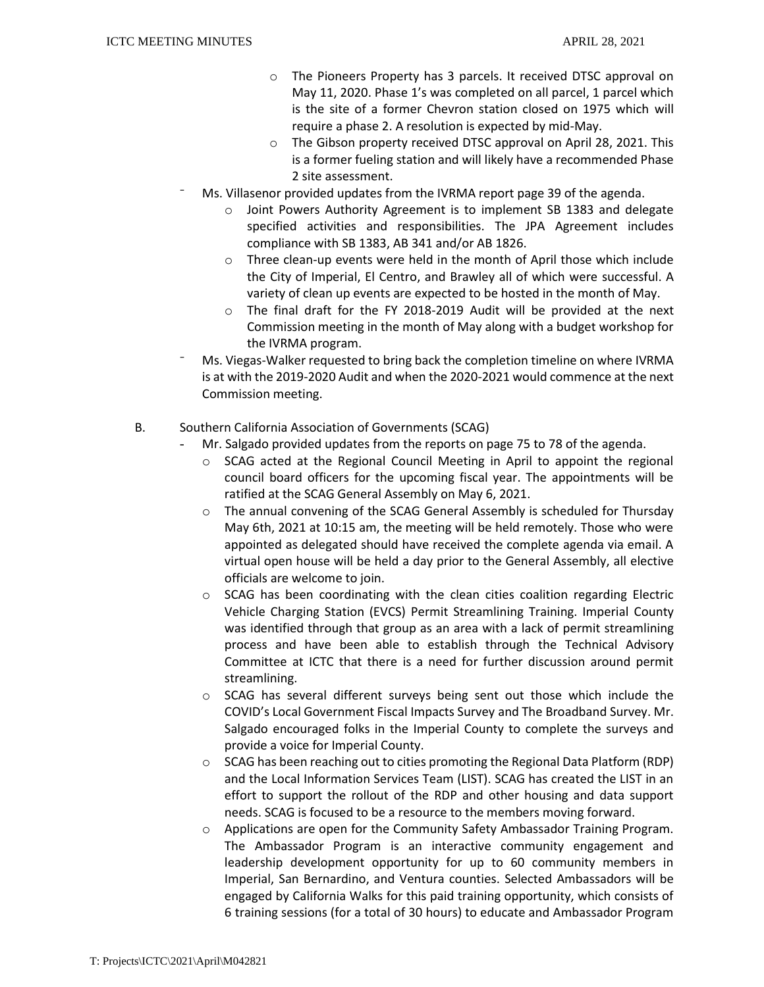- o The Pioneers Property has 3 parcels. It received DTSC approval on May 11, 2020. Phase 1's was completed on all parcel, 1 parcel which is the site of a former Chevron station closed on 1975 which will require a phase 2. A resolution is expected by mid-May.
- o The Gibson property received DTSC approval on April 28, 2021. This is a former fueling station and will likely have a recommended Phase 2 site assessment.
- ⁻ Ms. Villasenor provided updates from the IVRMA report page 39 of the agenda.
	- o Joint Powers Authority Agreement is to implement SB 1383 and delegate specified activities and responsibilities. The JPA Agreement includes compliance with SB 1383, AB 341 and/or AB 1826.
	- o Three clean-up events were held in the month of April those which include the City of Imperial, El Centro, and Brawley all of which were successful. A variety of clean up events are expected to be hosted in the month of May.
	- o The final draft for the FY 2018-2019 Audit will be provided at the next Commission meeting in the month of May along with a budget workshop for the IVRMA program.
- ⁻ Ms. Viegas-Walker requested to bring back the completion timeline on where IVRMA is at with the 2019-2020 Audit and when the 2020-2021 would commence at the next Commission meeting.
- B. Southern California Association of Governments (SCAG)
	- Mr. Salgado provided updates from the reports on page 75 to 78 of the agenda.
		- $\circ$  SCAG acted at the Regional Council Meeting in April to appoint the regional council board officers for the upcoming fiscal year. The appointments will be ratified at the SCAG General Assembly on May 6, 2021.
		- o The annual convening of the SCAG General Assembly is scheduled for Thursday May 6th, 2021 at 10:15 am, the meeting will be held remotely. Those who were appointed as delegated should have received the complete agenda via email. A virtual open house will be held a day prior to the General Assembly, all elective officials are welcome to join.
		- $\circ$  SCAG has been coordinating with the clean cities coalition regarding Electric Vehicle Charging Station (EVCS) Permit Streamlining Training. Imperial County was identified through that group as an area with a lack of permit streamlining process and have been able to establish through the Technical Advisory Committee at ICTC that there is a need for further discussion around permit streamlining.
		- o SCAG has several different surveys being sent out those which include the COVID's Local Government Fiscal Impacts Survey and The Broadband Survey. Mr. Salgado encouraged folks in the Imperial County to complete the surveys and provide a voice for Imperial County.
		- $\circ$  SCAG has been reaching out to cities promoting the Regional Data Platform (RDP) and the Local Information Services Team (LIST). SCAG has created the LIST in an effort to support the rollout of the RDP and other housing and data support needs. SCAG is focused to be a resource to the members moving forward.
		- o Applications are open for the Community Safety Ambassador Training Program. The Ambassador Program is an interactive community engagement and leadership development opportunity for up to 60 community members in Imperial, San Bernardino, and Ventura counties. Selected Ambassadors will be engaged by California Walks for this paid training opportunity, which consists of 6 training sessions (for a total of 30 hours) to educate and Ambassador Program